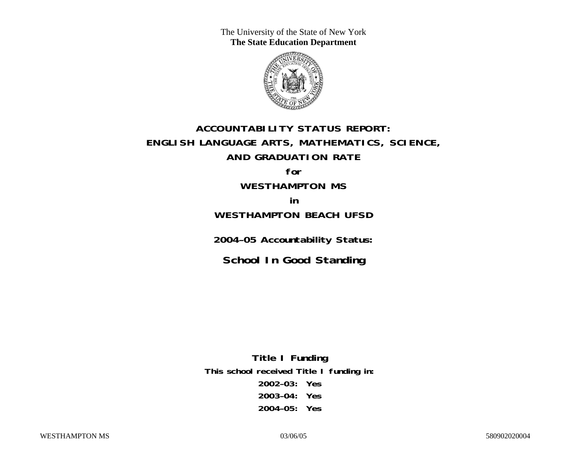The University of the State of New York **The State Education Department** 



# **ACCOUNTABILITY STATUS REPORT: ENGLISH LANGUAGE ARTS, MATHEMATICS, SCIENCE, AND GRADUATION RATE**

**for WESTHAMPTON MS** 

**in WESTHAMPTON BEACH UFSD** 

**2004–05 Accountability Status:** 

**School In Good Standing** 

**Title I Funding This school received Title I funding in: 2002–03: Yes 2003–04: Yes 2004–05: Yes**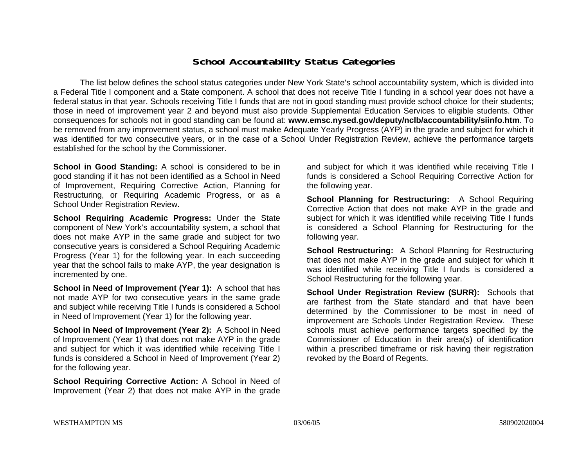### **School Accountability Status Categories**

The list below defines the school status categories under New York State's school accountability system, which is divided into a Federal Title I component and a State component. A school that does not receive Title I funding in a school year does not have a federal status in that year. Schools receiving Title I funds that are not in good standing must provide school choice for their students; those in need of improvement year 2 and beyond must also provide Supplemental Education Services to eligible students. Other consequences for schools not in good standing can be found at: **www.emsc.nysed.gov/deputy/nclb/accountability/siinfo.htm**. To be removed from any improvement status, a school must make Adequate Yearly Progress (AYP) in the grade and subject for which it was identified for two consecutive years, or in the case of a School Under Registration Review, achieve the performance targets established for the school by the Commissioner.

**School in Good Standing:** A school is considered to be in good standing if it has not been identified as a School in Need of Improvement, Requiring Corrective Action, Planning for Restructuring, or Requiring Academic Progress, or as a School Under Registration Review.

**School Requiring Academic Progress:** Under the State component of New York's accountability system, a school that does not make AYP in the same grade and subject for two consecutive years is considered a School Requiring Academic Progress (Year 1) for the following year. In each succeeding year that the school fails to make AYP, the year designation is incremented by one.

**School in Need of Improvement (Year 1):** A school that has not made AYP for two consecutive years in the same grade and subject while receiving Title I funds is considered a School in Need of Improvement (Year 1) for the following year.

**School in Need of Improvement (Year 2):** A School in Need of Improvement (Year 1) that does not make AYP in the grade and subject for which it was identified while receiving Title I funds is considered a School in Need of Improvement (Year 2) for the following year.

**School Requiring Corrective Action:** A School in Need of Improvement (Year 2) that does not make AYP in the grade

and subject for which it was identified while receiving Title I funds is considered a School Requiring Corrective Action for the following year.

**School Planning for Restructuring:** A School Requiring Corrective Action that does not make AYP in the grade and subject for which it was identified while receiving Title I funds is considered a School Planning for Restructuring for the following year.

**School Restructuring:** A School Planning for Restructuring that does not make AYP in the grade and subject for which it was identified while receiving Title I funds is considered a School Restructuring for the following year.

**School Under Registration Review (SURR):** Schools that are farthest from the State standard and that have been determined by the Commissioner to be most in need of improvement are Schools Under Registration Review. These schools must achieve performance targets specified by the Commissioner of Education in their area(s) of identification within a prescribed timeframe or risk having their registration revoked by the Board of Regents.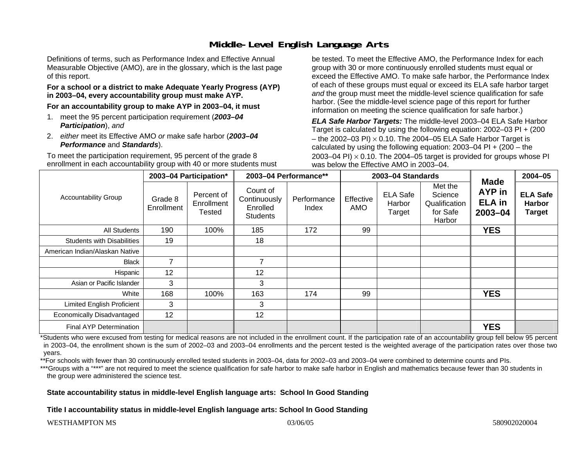## **Middle-Level English Language Arts**

Definitions of terms, such as Performance Index and Effective Annual Measurable Objective (AMO), are in the glossary, which is the last page of this report.

#### **For a school or a district to make Adequate Yearly Progress (AYP) in 2003–04, every accountability group must make AYP.**

**For an accountability group to make AYP in 2003–04, it must** 

- 1. meet the 95 percent participation requirement (*2003–04 Participation*), *and*
- 2. *either* meet its Effective AMO *or* make safe harbor (*2003–04 Performance* and *Standards*).

To meet the participation requirement, 95 percent of the grade 8 enrollment in each accountability group with 40 or more students must be tested. To meet the Effective AMO, the Performance Index for each group with 30 or more continuously enrolled students must equal or exceed the Effective AMO. To make safe harbor, the Performance Index of each of these groups must equal or exceed its ELA safe harbor target *and* the group must meet the middle-level science qualification for safe harbor. (See the middle-level science page of this report for further information on meeting the science qualification for safe harbor.)

*ELA Safe Harbor Targets:* The middle-level 2003–04 ELA Safe Harbor Target is calculated by using the following equation: 2002–03 PI + (200 – the 2002–03 PI)  $\times$  0.10. The 2004–05 ELA Safe Harbor Target is calculated by using the following equation:  $2003-04$  PI +  $(200 -$  the 2003–04 PI)  $\times$  0.10. The 2004–05 target is provided for groups whose PI was below the Effective AMO in 2003–04.

| <b>Accountability Group</b>       | 2003-04 Participation* |                                           | 2003-04 Performance**                                   |                      | 2003-04 Standards       |                                     |                                                           |                                                              | $2004 - 05$                                       |
|-----------------------------------|------------------------|-------------------------------------------|---------------------------------------------------------|----------------------|-------------------------|-------------------------------------|-----------------------------------------------------------|--------------------------------------------------------------|---------------------------------------------------|
|                                   | Grade 8<br>Enrollment  | Percent of<br>Enrollment<br><b>Tested</b> | Count of<br>Continuously<br>Enrolled<br><b>Students</b> | Performance<br>Index | Effective<br><b>AMO</b> | <b>ELA Safe</b><br>Harbor<br>Target | Met the<br>Science<br>Qualification<br>for Safe<br>Harbor | <b>Made</b><br><b>AYP</b> in<br><b>ELA in</b><br>$2003 - 04$ | <b>ELA Safe</b><br><b>Harbor</b><br><b>Target</b> |
| <b>All Students</b>               | 190                    | 100%                                      | 185                                                     | 172                  | 99                      |                                     |                                                           | <b>YES</b>                                                   |                                                   |
| <b>Students with Disabilities</b> | 19                     |                                           | 18                                                      |                      |                         |                                     |                                                           |                                                              |                                                   |
| American Indian/Alaskan Native    |                        |                                           |                                                         |                      |                         |                                     |                                                           |                                                              |                                                   |
| <b>Black</b>                      | $\overline{7}$         |                                           | $\overline{\phantom{a}}$                                |                      |                         |                                     |                                                           |                                                              |                                                   |
| Hispanic                          | 12                     |                                           | 12                                                      |                      |                         |                                     |                                                           |                                                              |                                                   |
| Asian or Pacific Islander         | 3                      |                                           | 3                                                       |                      |                         |                                     |                                                           |                                                              |                                                   |
| White                             | 168                    | 100%                                      | 163                                                     | 174                  | 99                      |                                     |                                                           | <b>YES</b>                                                   |                                                   |
| <b>Limited English Proficient</b> | 3                      |                                           | 3                                                       |                      |                         |                                     |                                                           |                                                              |                                                   |
| Economically Disadvantaged        | 12                     |                                           | 12                                                      |                      |                         |                                     |                                                           |                                                              |                                                   |
| Final AYP Determination           |                        |                                           |                                                         |                      |                         |                                     |                                                           | <b>YES</b>                                                   |                                                   |

\*Students who were excused from testing for medical reasons are not included in the enrollment count. If the participation rate of an accountability group fell below 95 percent in 2003–04, the enrollment shown is the sum of 2002–03 and 2003–04 enrollments and the percent tested is the weighted average of the participation rates over those two years.

\*\*For schools with fewer than 30 continuously enrolled tested students in 2003–04, data for 2002–03 and 2003–04 were combined to determine counts and PIs.

\*\*\*Groups with a "\*\*\*" are not required to meet the science qualification for safe harbor to make safe harbor in English and mathematics because fewer than 30 students in the group were administered the science test.

#### **State accountability status in middle-level English language arts: School In Good Standing**

**Title I accountability status in middle-level English language arts: School In Good Standing**

#### WESTHAMPTON MS 580902020004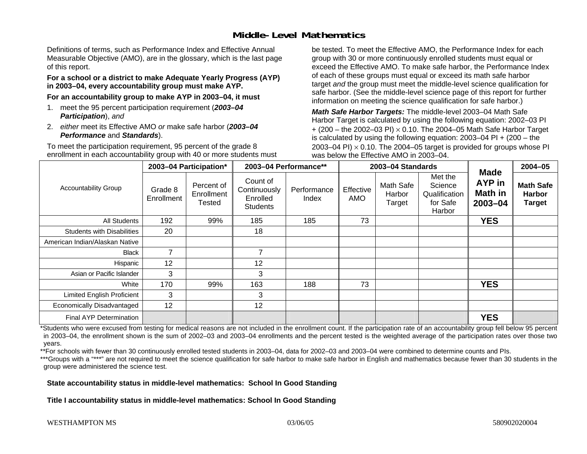## **Middle-Level Mathematics**

Definitions of terms, such as Performance Index and Effective Annual Measurable Objective (AMO), are in the glossary, which is the last page of this report.

#### **For a school or a district to make Adequate Yearly Progress (AYP) in 2003–04, every accountability group must make AYP.**

**For an accountability group to make AYP in 2003–04, it must** 

- 1. meet the 95 percent participation requirement (*2003–04 Participation*), *and*
- 2. *either* meet its Effective AMO *or* make safe harbor (*2003–04 Performance* and *Standards*).

To meet the participation requirement, 95 percent of the grade 8 enrollment in each accountability group with 40 or more students must be tested. To meet the Effective AMO, the Performance Index for each group with 30 or more continuously enrolled students must equal or exceed the Effective AMO. To make safe harbor, the Performance Index of each of these groups must equal or exceed its math safe harbor target *and* the group must meet the middle-level science qualification for safe harbor. (See the middle-level science page of this report for further information on meeting the science qualification for safe harbor.)

*Math Safe Harbor Targets:* The middle-level 2003–04 Math Safe Harbor Target is calculated by using the following equation: 2002–03 PI + (200 – the 2002–03 PI) <sup>×</sup> 0.10. The 2004–05 Math Safe Harbor Target is calculated by using the following equation: 2003–04 PI + (200 – the 2003–04 PI)  $\times$  0.10. The 2004–05 target is provided for groups whose PI was below the Effective AMO in 2003–04.

| <b>Accountability Group</b>       | 2003-04 Participation* |                                    | 2003-04 Performance**                                   |                      | 2003-04 Standards |                               |                                                           |                                                        | $2004 - 05$                                        |
|-----------------------------------|------------------------|------------------------------------|---------------------------------------------------------|----------------------|-------------------|-------------------------------|-----------------------------------------------------------|--------------------------------------------------------|----------------------------------------------------|
|                                   | Grade 8<br>Enrollment  | Percent of<br>Enrollment<br>Tested | Count of<br>Continuously<br>Enrolled<br><b>Students</b> | Performance<br>Index | Effective<br>AMO  | Math Safe<br>Harbor<br>Target | Met the<br>Science<br>Qualification<br>for Safe<br>Harbor | <b>Made</b><br><b>AYP</b> in<br>Math in<br>$2003 - 04$ | <b>Math Safe</b><br><b>Harbor</b><br><b>Target</b> |
| <b>All Students</b>               | 192                    | 99%                                | 185                                                     | 185                  | 73                |                               |                                                           | <b>YES</b>                                             |                                                    |
| <b>Students with Disabilities</b> | 20                     |                                    | 18                                                      |                      |                   |                               |                                                           |                                                        |                                                    |
| American Indian/Alaskan Native    |                        |                                    |                                                         |                      |                   |                               |                                                           |                                                        |                                                    |
| <b>Black</b>                      | $\overline{7}$         |                                    | 7                                                       |                      |                   |                               |                                                           |                                                        |                                                    |
| Hispanic                          | 12                     |                                    | 12                                                      |                      |                   |                               |                                                           |                                                        |                                                    |
| Asian or Pacific Islander         | 3                      |                                    | 3                                                       |                      |                   |                               |                                                           |                                                        |                                                    |
| White                             | 170                    | 99%                                | 163                                                     | 188                  | 73                |                               |                                                           | <b>YES</b>                                             |                                                    |
| <b>Limited English Proficient</b> | 3                      |                                    | 3                                                       |                      |                   |                               |                                                           |                                                        |                                                    |
| Economically Disadvantaged        | 12                     |                                    | 12                                                      |                      |                   |                               |                                                           |                                                        |                                                    |
| <b>Final AYP Determination</b>    |                        |                                    |                                                         |                      |                   |                               |                                                           | <b>YES</b>                                             |                                                    |

\*Students who were excused from testing for medical reasons are not included in the enrollment count. If the participation rate of an accountability group fell below 95 percent in 2003–04, the enrollment shown is the sum of 2002–03 and 2003–04 enrollments and the percent tested is the weighted average of the participation rates over those two years.

\*\*For schools with fewer than 30 continuously enrolled tested students in 2003–04, data for 2002–03 and 2003–04 were combined to determine counts and PIs.

\*\*\*Groups with a "\*\*\*" are not required to meet the science qualification for safe harbor to make safe harbor in English and mathematics because fewer than 30 students in the group were administered the science test.

#### **State accountability status in middle-level mathematics: School In Good Standing**

**Title I accountability status in middle-level mathematics: School In Good Standing**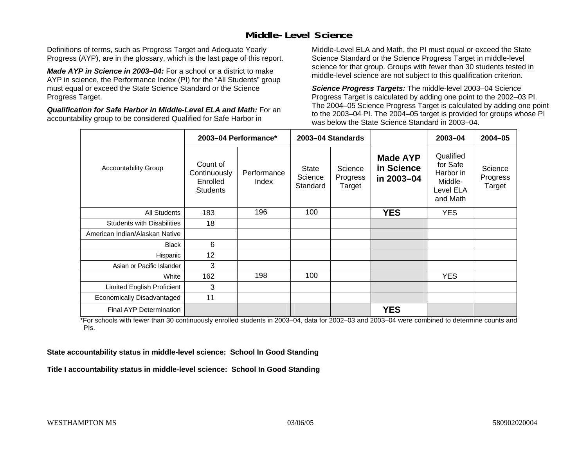## **Middle-Level Science**

Definitions of terms, such as Progress Target and Adequate Yearly Progress (AYP), are in the glossary, which is the last page of this report.

*Made AYP in Science in 2003–04:* For a school or a district to make AYP in science, the Performance Index (PI) for the "All Students" group must equal or exceed the State Science Standard or the Science Progress Target.

*Qualification for Safe Harbor in Middle-Level ELA and Math:* For an accountability group to be considered Qualified for Safe Harbor in

Middle-Level ELA and Math, the PI must equal or exceed the State Science Standard or the Science Progress Target in middle-level science for that group. Groups with fewer than 30 students tested in middle-level science are not subject to this qualification criterion.

*Science Progress Targets:* The middle-level 2003–04 Science Progress Target is calculated by adding one point to the 2002–03 PI. The 2004–05 Science Progress Target is calculated by adding one point to the 2003–04 PI. The 2004–05 target is provided for groups whose PI was below the State Science Standard in 2003–04.

|                                   | 2003-04 Performance*                                    |                      | 2003-04 Standards            |                               |                                             | $2003 - 04$                                                            | $2004 - 05$                   |
|-----------------------------------|---------------------------------------------------------|----------------------|------------------------------|-------------------------------|---------------------------------------------|------------------------------------------------------------------------|-------------------------------|
| <b>Accountability Group</b>       | Count of<br>Continuously<br>Enrolled<br><b>Students</b> | Performance<br>Index | State<br>Science<br>Standard | Science<br>Progress<br>Target | <b>Made AYP</b><br>in Science<br>in 2003-04 | Qualified<br>for Safe<br>Harbor in<br>Middle-<br>Level ELA<br>and Math | Science<br>Progress<br>Target |
| All Students                      | 183                                                     | 196                  | 100                          |                               | <b>YES</b>                                  | <b>YES</b>                                                             |                               |
| <b>Students with Disabilities</b> | 18                                                      |                      |                              |                               |                                             |                                                                        |                               |
| American Indian/Alaskan Native    |                                                         |                      |                              |                               |                                             |                                                                        |                               |
| <b>Black</b>                      | 6                                                       |                      |                              |                               |                                             |                                                                        |                               |
| Hispanic                          | 12                                                      |                      |                              |                               |                                             |                                                                        |                               |
| Asian or Pacific Islander         | 3                                                       |                      |                              |                               |                                             |                                                                        |                               |
| White                             | 162                                                     | 198                  | 100                          |                               |                                             | <b>YES</b>                                                             |                               |
| Limited English Proficient        | 3                                                       |                      |                              |                               |                                             |                                                                        |                               |
| Economically Disadvantaged        | 11                                                      |                      |                              |                               |                                             |                                                                        |                               |
| Final AYP Determination           |                                                         |                      |                              |                               | <b>YES</b>                                  |                                                                        |                               |

\*For schools with fewer than 30 continuously enrolled students in 2003–04, data for 2002–03 and 2003–04 were combined to determine counts and PIs.

**State accountability status in middle-level science: School In Good Standing** 

**Title I accountability status in middle-level science: School In Good Standing**